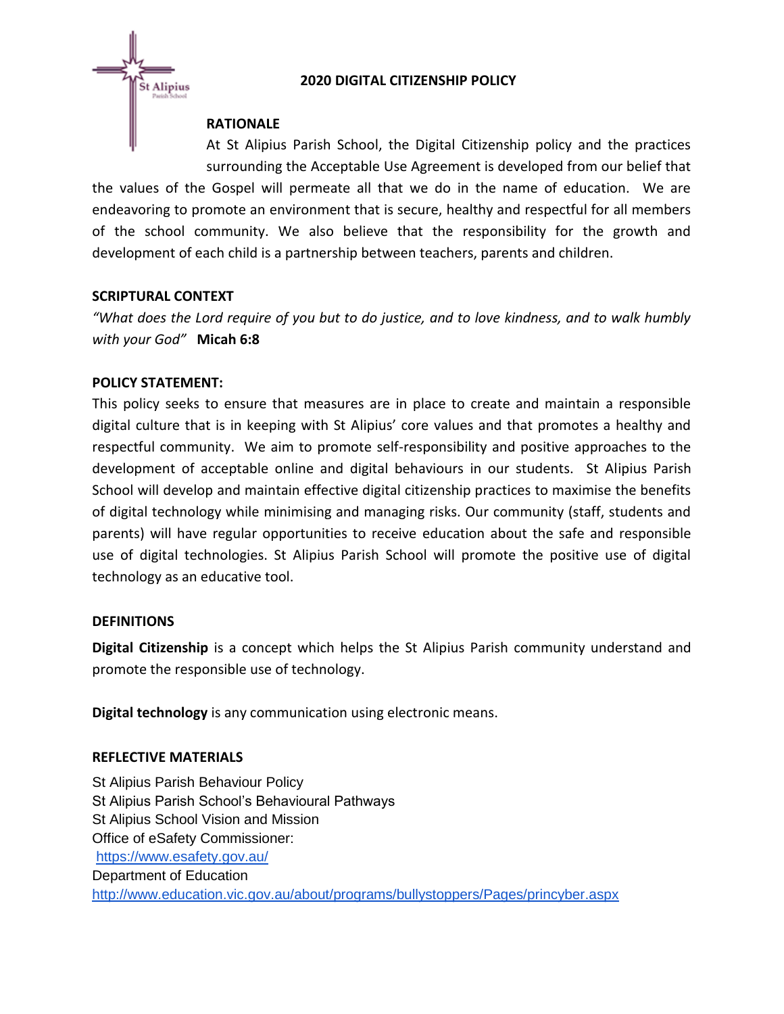## **2020 DIGITAL CITIZENSHIP POLICY**



## **RATIONALE**

At St Alipius Parish School, the Digital Citizenship policy and the practices surrounding the Acceptable Use Agreement is developed from our belief that

the values of the Gospel will permeate all that we do in the name of education. We are endeavoring to promote an environment that is secure, healthy and respectful for all members of the school community. We also believe that the responsibility for the growth and development of each child is a partnership between teachers, parents and children.

## **SCRIPTURAL CONTEXT**

*"What does the Lord require of you but to do justice, and to love kindness, and to walk humbly with your God"* **Micah 6:8**

#### **POLICY STATEMENT:**

This policy seeks to ensure that measures are in place to create and maintain a responsible digital culture that is in keeping with St Alipius' core values and that promotes a healthy and respectful community. We aim to promote self-responsibility and positive approaches to the development of acceptable online and digital behaviours in our students. St Alipius Parish School will develop and maintain effective digital citizenship practices to maximise the benefits of digital technology while minimising and managing risks. Our community (staff, students and parents) will have regular opportunities to receive education about the safe and responsible use of digital technologies. St Alipius Parish School will promote the positive use of digital technology as an educative tool.

#### **DEFINITIONS**

**Digital Citizenship** is a concept which helps the St Alipius Parish community understand and promote the responsible use of technology.

**Digital technology** is any communication using electronic means.

#### **REFLECTIVE MATERIALS**

St Alipius Parish Behaviour Policy St Alipius Parish School's Behavioural Pathways St Alipius School Vision and Mission Office of eSafety Commissioner: <https://www.esafety.gov.au/> Department of Education <http://www.education.vic.gov.au/about/programs/bullystoppers/Pages/princyber.aspx>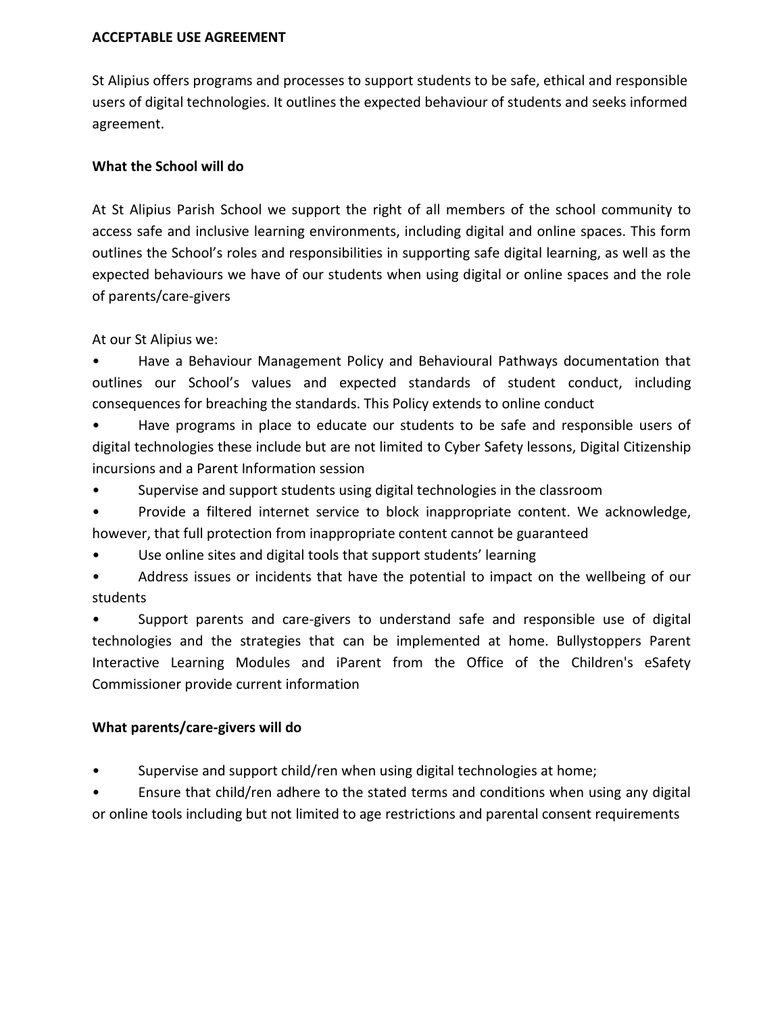#### **ACCEPTABLE USE AGREEMENT**

St Alipius offers programs and processes to support students to be safe, ethical and responsible users of digital technologies. It outlines the expected behaviour of students and seeks informed agreement.

### **What the School will do**

At St Alipius Parish School we support the right of all members of the school community to access safe and inclusive learning environments, including digital and online spaces. This form outlines the School's roles and responsibilities in supporting safe digital learning, as well as the expected behaviours we have of our students when using digital or online spaces and the role of parents/care-givers

At our St Alipius we:

• Have a Behaviour Management Policy and Behavioural Pathways documentation that outlines our School's values and expected standards of student conduct, including consequences for breaching the standards. This Policy extends to online conduct

• Have programs in place to educate our students to be safe and responsible users of digital technologies these include but are not limited to Cyber Safety lessons, Digital Citizenship incursions and a Parent Information session

- Supervise and support students using digital technologies in the classroom
- Provide a filtered internet service to block inappropriate content. We acknowledge, however, that full protection from inappropriate content cannot be guaranteed
- Use online sites and digital tools that support students' learning
- Address issues or incidents that have the potential to impact on the wellbeing of our students

• Support parents and care-givers to understand safe and responsible use of digital technologies and the strategies that can be implemented at home. Bullystoppers Parent Interactive Learning Modules and iParent from the Office of the Children's eSafety Commissioner provide current information

# **What parents/care-givers will do**

Supervise and support child/ren when using digital technologies at home;

• Ensure that child/ren adhere to the stated terms and conditions when using any digital or online tools including but not limited to age restrictions and parental consent requirements